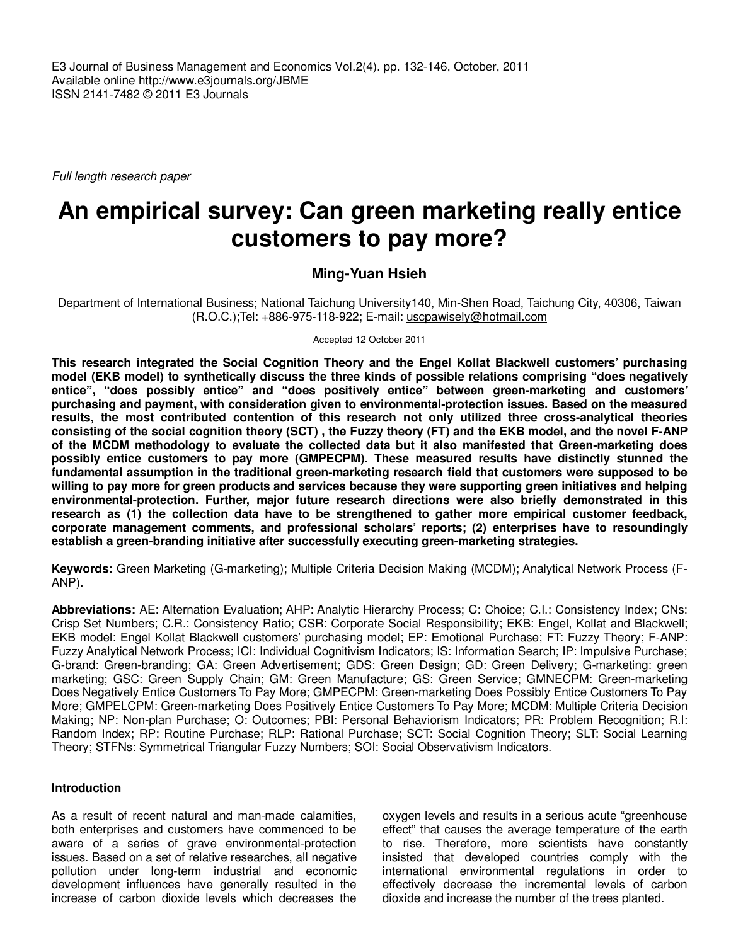Full length research paper

# **An empirical survey: Can green marketing really entice customers to pay more?**

## **Ming-Yuan Hsieh**

Department of International Business; National Taichung University140, Min-Shen Road, Taichung City, 40306, Taiwan (R.O.C.);Tel: +886-975-118-922; E-mail: uscpawisely@hotmail.com

Accepted 12 October 2011

**This research integrated the Social Cognition Theory and the Engel Kollat Blackwell customers' purchasing model (EKB model) to synthetically discuss the three kinds of possible relations comprising "does negatively entice", "does possibly entice" and "does positively entice" between green-marketing and customers' purchasing and payment, with consideration given to environmental-protection issues. Based on the measured results, the most contributed contention of this research not only utilized three cross-analytical theories consisting of the social cognition theory (SCT) , the Fuzzy theory (FT) and the EKB model, and the novel F-ANP of the MCDM methodology to evaluate the collected data but it also manifested that Green-marketing does possibly entice customers to pay more (GMPECPM). These measured results have distinctly stunned the fundamental assumption in the traditional green-marketing research field that customers were supposed to be willing to pay more for green products and services because they were supporting green initiatives and helping environmental-protection. Further, major future research directions were also briefly demonstrated in this research as (1) the collection data have to be strengthened to gather more empirical customer feedback, corporate management comments, and professional scholars' reports; (2) enterprises have to resoundingly establish a green-branding initiative after successfully executing green-marketing strategies.** 

**Keywords:** Green Marketing (G-marketing); Multiple Criteria Decision Making (MCDM); Analytical Network Process (F-ANP).

**Abbreviations:** AE: Alternation Evaluation; AHP: Analytic Hierarchy Process; C: Choice; C.I.: Consistency Index; CNs: Crisp Set Numbers; C.R.: Consistency Ratio; CSR: Corporate Social Responsibility; EKB: Engel, Kollat and Blackwell; EKB model: Engel Kollat Blackwell customers' purchasing model; EP: Emotional Purchase; FT: Fuzzy Theory; F-ANP: Fuzzy Analytical Network Process; ICI: Individual Cognitivism Indicators; IS: Information Search; IP: Impulsive Purchase; G-brand: Green-branding; GA: Green Advertisement; GDS: Green Design; GD: Green Delivery; G-marketing: green marketing; GSC: Green Supply Chain; GM: Green Manufacture; GS: Green Service; GMNECPM: Green-marketing Does Negatively Entice Customers To Pay More; GMPECPM: Green-marketing Does Possibly Entice Customers To Pay More; GMPELCPM: Green-marketing Does Positively Entice Customers To Pay More; MCDM: Multiple Criteria Decision Making; NP: Non-plan Purchase; O: Outcomes; PBI: Personal Behaviorism Indicators; PR: Problem Recognition; R.I: Random Index; RP: Routine Purchase; RLP: Rational Purchase; SCT: Social Cognition Theory; SLT: Social Learning Theory; STFNs: Symmetrical Triangular Fuzzy Numbers; SOI: Social Observativism Indicators.

## **Introduction**

As a result of recent natural and man-made calamities, both enterprises and customers have commenced to be aware of a series of grave environmental-protection issues. Based on a set of relative researches, all negative pollution under long-term industrial and economic development influences have generally resulted in the increase of carbon dioxide levels which decreases the

oxygen levels and results in a serious acute "greenhouse effect" that causes the average temperature of the earth to rise. Therefore, more scientists have constantly insisted that developed countries comply with the international environmental regulations in order to effectively decrease the incremental levels of carbon dioxide and increase the number of the trees planted.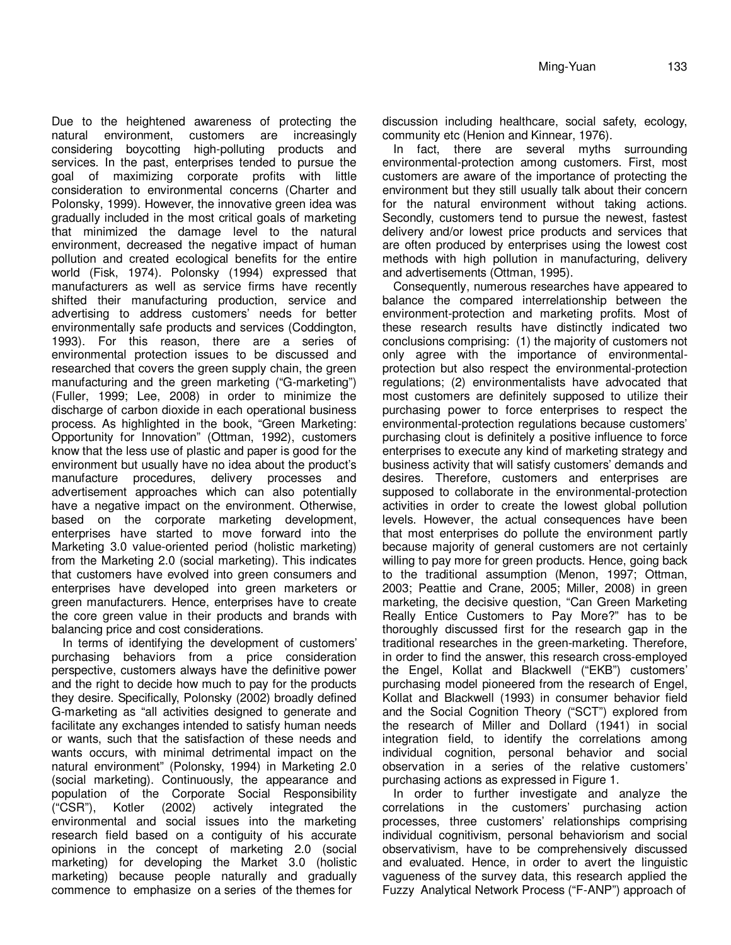Due to the heightened awareness of protecting the natural environment, customers are increasingly considering boycotting high-polluting products and services. In the past, enterprises tended to pursue the goal of maximizing corporate profits with little consideration to environmental concerns (Charter and Polonsky, 1999). However, the innovative green idea was gradually included in the most critical goals of marketing that minimized the damage level to the natural environment, decreased the negative impact of human pollution and created ecological benefits for the entire world (Fisk, 1974). Polonsky (1994) expressed that manufacturers as well as service firms have recently shifted their manufacturing production, service and advertising to address customers' needs for better environmentally safe products and services (Coddington, 1993). For this reason, there are a series of environmental protection issues to be discussed and researched that covers the green supply chain, the green manufacturing and the green marketing ("G-marketing") (Fuller, 1999; Lee, 2008) in order to minimize the discharge of carbon dioxide in each operational business process. As highlighted in the book, "Green Marketing: Opportunity for Innovation" (Ottman, 1992), customers know that the less use of plastic and paper is good for the environment but usually have no idea about the product's manufacture procedures, delivery processes and advertisement approaches which can also potentially have a negative impact on the environment. Otherwise, based on the corporate marketing development, enterprises have started to move forward into the Marketing 3.0 value-oriented period (holistic marketing) from the Marketing 2.0 (social marketing). This indicates that customers have evolved into green consumers and enterprises have developed into green marketers or green manufacturers. Hence, enterprises have to create the core green value in their products and brands with balancing price and cost considerations.

In terms of identifying the development of customers' purchasing behaviors from a price consideration perspective, customers always have the definitive power and the right to decide how much to pay for the products they desire. Specifically, Polonsky (2002) broadly defined G-marketing as "all activities designed to generate and facilitate any exchanges intended to satisfy human needs or wants, such that the satisfaction of these needs and wants occurs, with minimal detrimental impact on the natural environment" (Polonsky, 1994) in Marketing 2.0 (social marketing). Continuously, the appearance and population of the Corporate Social Responsibility ("CSR"), Kotler (2002) actively integrated the environmental and social issues into the marketing research field based on a contiguity of his accurate opinions in the concept of marketing 2.0 (social marketing) for developing the Market 3.0 (holistic marketing) because people naturally and gradually commence to emphasize on a series of the themes for

discussion including healthcare, social safety, ecology, community etc (Henion and Kinnear, 1976).

In fact, there are several myths surrounding environmental-protection among customers. First, most customers are aware of the importance of protecting the environment but they still usually talk about their concern for the natural environment without taking actions. Secondly, customers tend to pursue the newest, fastest delivery and/or lowest price products and services that are often produced by enterprises using the lowest cost methods with high pollution in manufacturing, delivery and advertisements (Ottman, 1995).

Consequently, numerous researches have appeared to balance the compared interrelationship between the environment-protection and marketing profits. Most of these research results have distinctly indicated two conclusions comprising: (1) the majority of customers not only agree with the importance of environmentalprotection but also respect the environmental-protection regulations; (2) environmentalists have advocated that most customers are definitely supposed to utilize their purchasing power to force enterprises to respect the environmental-protection regulations because customers' purchasing clout is definitely a positive influence to force enterprises to execute any kind of marketing strategy and business activity that will satisfy customers' demands and desires. Therefore, customers and enterprises are supposed to collaborate in the environmental-protection activities in order to create the lowest global pollution levels. However, the actual consequences have been that most enterprises do pollute the environment partly because majority of general customers are not certainly willing to pay more for green products. Hence, going back to the traditional assumption (Menon, 1997; Ottman, 2003; Peattie and Crane, 2005; Miller, 2008) in green marketing, the decisive question, "Can Green Marketing Really Entice Customers to Pay More?" has to be thoroughly discussed first for the research gap in the traditional researches in the green-marketing. Therefore, in order to find the answer, this research cross-employed the Engel, Kollat and Blackwell ("EKB") customers' purchasing model pioneered from the research of Engel, Kollat and Blackwell (1993) in consumer behavior field and the Social Cognition Theory ("SCT") explored from the research of Miller and Dollard (1941) in social integration field, to identify the correlations among individual cognition, personal behavior and social observation in a series of the relative customers' purchasing actions as expressed in Figure 1.

In order to further investigate and analyze the correlations in the customers' purchasing action processes, three customers' relationships comprising individual cognitivism, personal behaviorism and social observativism, have to be comprehensively discussed and evaluated. Hence, in order to avert the linguistic vagueness of the survey data, this research applied the Fuzzy Analytical Network Process ("F-ANP") approach of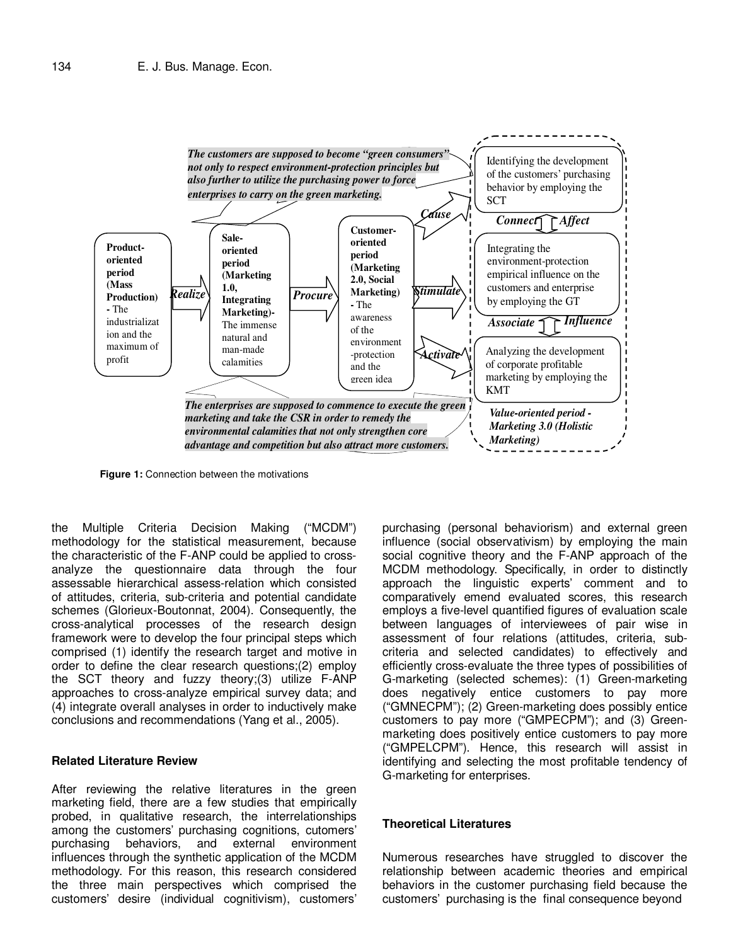

**Figure 1:** Connection between the motivations

the Multiple Criteria Decision Making ("MCDM") methodology for the statistical measurement, because the characteristic of the F-ANP could be applied to crossanalyze the questionnaire data through the four assessable hierarchical assess-relation which consisted of attitudes, criteria, sub-criteria and potential candidate schemes (Glorieux-Boutonnat, 2004). Consequently, the cross-analytical processes of the research design framework were to develop the four principal steps which comprised (1) identify the research target and motive in order to define the clear research questions;(2) employ the SCT theory and fuzzy theory;(3) utilize F-ANP approaches to cross-analyze empirical survey data; and (4) integrate overall analyses in order to inductively make conclusions and recommendations (Yang et al., 2005).

### **Related Literature Review**

After reviewing the relative literatures in the green marketing field, there are a few studies that empirically probed, in qualitative research, the interrelationships among the customers' purchasing cognitions, cutomers' purchasing behaviors, and external environment influences through the synthetic application of the MCDM methodology. For this reason, this research considered the three main perspectives which comprised the customers' desire (individual cognitivism), customers' purchasing (personal behaviorism) and external green influence (social observativism) by employing the main social cognitive theory and the F-ANP approach of the MCDM methodology. Specifically, in order to distinctly approach the linguistic experts' comment and to comparatively emend evaluated scores, this research employs a five-level quantified figures of evaluation scale between languages of interviewees of pair wise in assessment of four relations (attitudes, criteria, subcriteria and selected candidates) to effectively and efficiently cross-evaluate the three types of possibilities of G-marketing (selected schemes): (1) Green-marketing does negatively entice customers to pay more ("GMNECPM"); (2) Green-marketing does possibly entice customers to pay more ("GMPECPM"); and (3) Greenmarketing does positively entice customers to pay more ("GMPELCPM"). Hence, this research will assist in identifying and selecting the most profitable tendency of G-marketing for enterprises.

#### **Theoretical Literatures**

Numerous researches have struggled to discover the relationship between academic theories and empirical behaviors in the customer purchasing field because the customers' purchasing is the final consequence beyond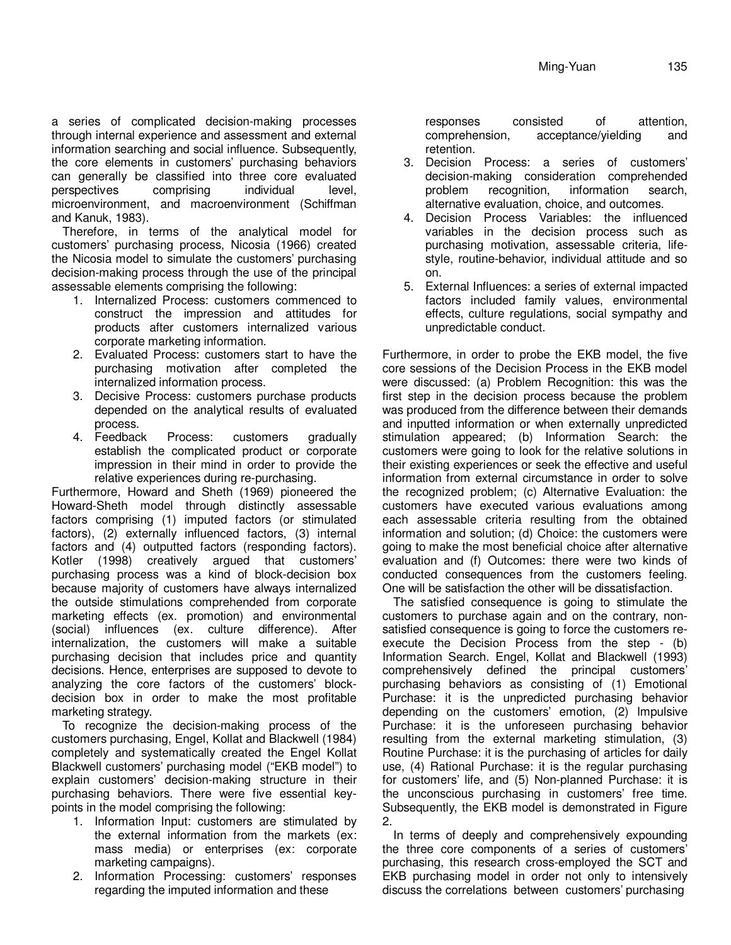a series of complicated decision-making processes through internal experience and assessment and external information searching and social influence. Subsequently, the core elements in customers' purchasing behaviors can generally be classified into three core evaluated perspectives comprising individual level, microenvironment, and macroenvironment (Schiffman and Kanuk, 1983).

Therefore, in terms of the analytical model for customers' purchasing process, Nicosia (1966) created the Nicosia model to simulate the customers' purchasing decision-making process through the use of the principal assessable elements comprising the following:

- 1. Internalized Process: customers commenced to construct the impression and attitudes for products after customers internalized various corporate marketing information.
- 2. Evaluated Process: customers start to have the purchasing motivation after completed the internalized information process.
- 3. Decisive Process: customers purchase products depended on the analytical results of evaluated process.
- 4. Feedback Process: customers gradually establish the complicated product or corporate impression in their mind in order to provide the relative experiences during re-purchasing.

Furthermore, Howard and Sheth (1969) pioneered the Howard-Sheth model through distinctly assessable factors comprising (1) imputed factors (or stimulated factors), (2) externally influenced factors, (3) internal factors and (4) outputted factors (responding factors). Kotler (1998) creatively argued that customers' purchasing process was a kind of block-decision box because majority of customers have always internalized the outside stimulations comprehended from corporate marketing effects (ex. promotion) and environmental (social) influences (ex. culture difference). After internalization, the customers will make a suitable purchasing decision that includes price and quantity decisions. Hence, enterprises are supposed to devote to analyzing the core factors of the customers' blockdecision box in order to make the most profitable marketing strategy.

To recognize the decision-making process of the customers purchasing, Engel, Kollat and Blackwell (1984) completely and systematically created the Engel Kollat Blackwell customers' purchasing model ("EKB model") to explain customers' decision-making structure in their purchasing behaviors. There were five essential keypoints in the model comprising the following:

- 1. Information Input: customers are stimulated by the external information from the markets (ex: mass media) or enterprises (ex: corporate marketing campaigns).
- 2. Information Processing: customers' responses regarding the imputed information and these

responses consisted of attention, comprehension, acceptance/yielding and retention.

- 3. Decision Process: a series of customers' decision-making consideration comprehended problem recognition, information search, alternative evaluation, choice, and outcomes.
- 4. Decision Process Variables: the influenced variables in the decision process such as purchasing motivation, assessable criteria, lifestyle, routine-behavior, individual attitude and so on.
- 5. External Influences: a series of external impacted factors included family values, environmental effects, culture regulations, social sympathy and unpredictable conduct.

Furthermore, in order to probe the EKB model, the five core sessions of the Decision Process in the EKB model were discussed: (a) Problem Recognition: this was the first step in the decision process because the problem was produced from the difference between their demands and inputted information or when externally unpredicted stimulation appeared; (b) Information Search: the customers were going to look for the relative solutions in their existing experiences or seek the effective and useful information from external circumstance in order to solve the recognized problem; (c) Alternative Evaluation: the customers have executed various evaluations among each assessable criteria resulting from the obtained information and solution; (d) Choice: the customers were going to make the most beneficial choice after alternative evaluation and (f) Outcomes: there were two kinds of conducted consequences from the customers feeling. One will be satisfaction the other will be dissatisfaction.

The satisfied consequence is going to stimulate the customers to purchase again and on the contrary, nonsatisfied consequence is going to force the customers reexecute the Decision Process from the step - (b) Information Search. Engel, Kollat and Blackwell (1993) comprehensively defined the principal customers' purchasing behaviors as consisting of (1) Emotional Purchase: it is the unpredicted purchasing behavior depending on the customers' emotion, (2) Impulsive Purchase: it is the unforeseen purchasing behavior resulting from the external marketing stimulation, (3) Routine Purchase: it is the purchasing of articles for daily use, (4) Rational Purchase: it is the regular purchasing for customers' life, and (5) Non-planned Purchase: it is the unconscious purchasing in customers' free time. Subsequently, the EKB model is demonstrated in Figure 2.

In terms of deeply and comprehensively expounding the three core components of a series of customers' purchasing, this research cross-employed the SCT and EKB purchasing model in order not only to intensively discuss the correlations between customers' purchasing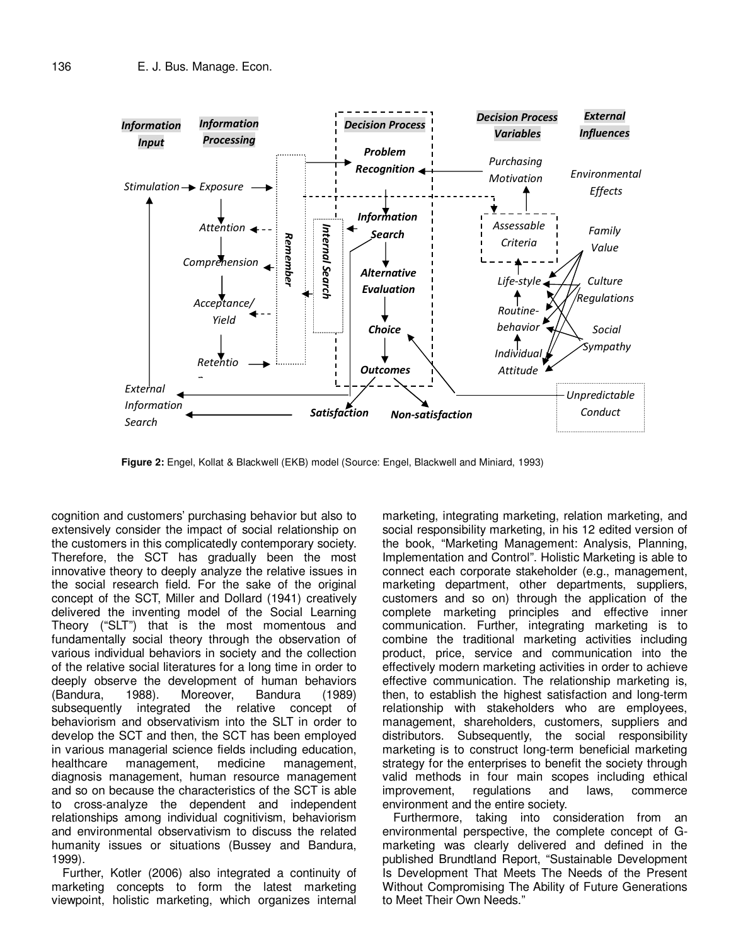

**Figure 2:** Engel, Kollat & Blackwell (EKB) model (Source: Engel, Blackwell and Miniard, 1993)

cognition and customers' purchasing behavior but also to extensively consider the impact of social relationship on the customers in this complicatedly contemporary society. Therefore, the SCT has gradually been the most innovative theory to deeply analyze the relative issues in the social research field. For the sake of the original concept of the SCT, Miller and Dollard (1941) creatively delivered the inventing model of the Social Learning Theory ("SLT") that is the most momentous and fundamentally social theory through the observation of various individual behaviors in society and the collection of the relative social literatures for a long time in order to deeply observe the development of human behaviors (Bandura, 1988). Moreover, Bandura (1989) subsequently integrated the relative concept of behaviorism and observativism into the SLT in order to develop the SCT and then, the SCT has been employed in various managerial science fields including education, healthcare management, medicine management, diagnosis management, human resource management and so on because the characteristics of the SCT is able to cross-analyze the dependent and independent relationships among individual cognitivism, behaviorism and environmental observativism to discuss the related humanity issues or situations (Bussey and Bandura, 1999).

Further, Kotler (2006) also integrated a continuity of marketing concepts to form the latest marketing viewpoint, holistic marketing, which organizes internal marketing, integrating marketing, relation marketing, and social responsibility marketing, in his 12 edited version of the book, "Marketing Management: Analysis, Planning, Implementation and Control". Holistic Marketing is able to connect each corporate stakeholder (e.g., management, marketing department, other departments, suppliers, customers and so on) through the application of the complete marketing principles and effective inner communication. Further, integrating marketing is to combine the traditional marketing activities including product, price, service and communication into the effectively modern marketing activities in order to achieve effective communication. The relationship marketing is, then, to establish the highest satisfaction and long-term relationship with stakeholders who are employees, management, shareholders, customers, suppliers and distributors. Subsequently, the social responsibility marketing is to construct long-term beneficial marketing strategy for the enterprises to benefit the society through valid methods in four main scopes including ethical improvement, regulations and laws, commerce environment and the entire society.

Furthermore, taking into consideration from an environmental perspective, the complete concept of Gmarketing was clearly delivered and defined in the published Brundtland Report, "Sustainable Development Is Development That Meets The Needs of the Present Without Compromising The Ability of Future Generations to Meet Their Own Needs."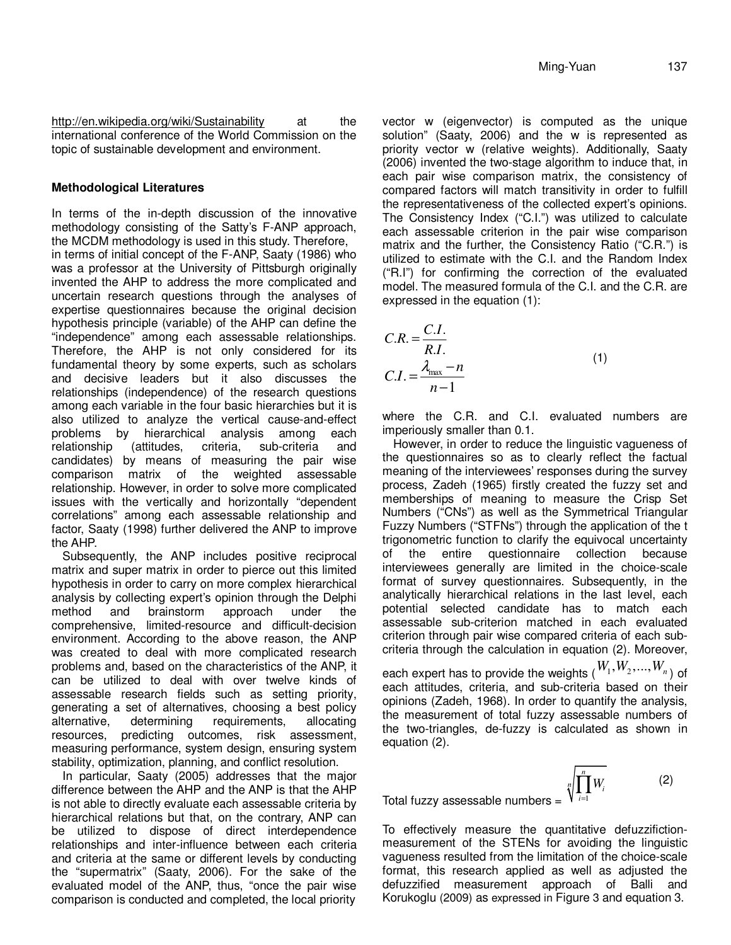http://en.wikipedia.org/wiki/Sustainability at the international conference of the World Commission on the topic of sustainable development and environment.

#### **Methodological Literatures**

In terms of the in-depth discussion of the innovative methodology consisting of the Satty's F-ANP approach, the MCDM methodology is used in this study. Therefore,

in terms of initial concept of the F-ANP, Saaty (1986) who was a professor at the University of Pittsburgh originally invented the AHP to address the more complicated and uncertain research questions through the analyses of expertise questionnaires because the original decision hypothesis principle (variable) of the AHP can define the "independence" among each assessable relationships. Therefore, the AHP is not only considered for its fundamental theory by some experts, such as scholars and decisive leaders but it also discusses the relationships (independence) of the research questions among each variable in the four basic hierarchies but it is also utilized to analyze the vertical cause-and-effect problems by hierarchical analysis among each relationship (attitudes, criteria, sub-criteria and candidates) by means of measuring the pair wise comparison matrix of the weighted assessable relationship. However, in order to solve more complicated issues with the vertically and horizontally "dependent correlations" among each assessable relationship and factor, Saaty (1998) further delivered the ANP to improve the AHP.

Subsequently, the ANP includes positive reciprocal matrix and super matrix in order to pierce out this limited hypothesis in order to carry on more complex hierarchical analysis by collecting expert's opinion through the Delphi method and brainstorm approach under the comprehensive, limited-resource and difficult-decision environment. According to the above reason, the ANP was created to deal with more complicated research problems and, based on the characteristics of the ANP, it can be utilized to deal with over twelve kinds of assessable research fields such as setting priority, generating a set of alternatives, choosing a best policy alternative, determining requirements, allocating resources, predicting outcomes, risk assessment, measuring performance, system design, ensuring system stability, optimization, planning, and conflict resolution.

In particular, Saaty (2005) addresses that the major difference between the AHP and the ANP is that the AHP is not able to directly evaluate each assessable criteria by hierarchical relations but that, on the contrary, ANP can be utilized to dispose of direct interdependence relationships and inter-influence between each criteria and criteria at the same or different levels by conducting the "supermatrix" (Saaty, 2006). For the sake of the evaluated model of the ANP, thus, "once the pair wise comparison is conducted and completed, the local priority

vector w (eigenvector) is computed as the unique solution" (Saaty, 2006) and the w is represented as priority vector w (relative weights). Additionally, Saaty (2006) invented the two-stage algorithm to induce that, in each pair wise comparison matrix, the consistency of compared factors will match transitivity in order to fulfill the representativeness of the collected expert's opinions. The Consistency Index ("C.I.") was utilized to calculate each assessable criterion in the pair wise comparison matrix and the further, the Consistency Ratio ("C.R.") is utilized to estimate with the C.I. and the Random Index ("R.I") for confirming the correction of the evaluated model. The measured formula of the C.I. and the C.R. are expressed in the equation (1):

$$
C.R. = \frac{C.I.}{R.I.}
$$
  
\n
$$
C.I. = \frac{\lambda_{\text{max}} - n}{n - 1}
$$
\n(1)

where the C.R. and C.I. evaluated numbers are imperiously smaller than 0.1.

However, in order to reduce the linguistic vagueness of the questionnaires so as to clearly reflect the factual meaning of the interviewees' responses during the survey process, Zadeh (1965) firstly created the fuzzy set and memberships of meaning to measure the Crisp Set Numbers ("CNs") as well as the Symmetrical Triangular Fuzzy Numbers ("STFNs") through the application of the t trigonometric function to clarify the equivocal uncertainty of the entire questionnaire collection because interviewees generally are limited in the choice-scale format of survey questionnaires. Subsequently, in the analytically hierarchical relations in the last level, each potential selected candidate has to match each assessable sub-criterion matched in each evaluated criterion through pair wise compared criteria of each subcriteria through the calculation in equation (2). Moreover, each expert has to provide the weights  $(W_1, W_2, ..., W_n)$  of each attitudes, criteria, and sub-criteria based on their opinions (Zadeh, 1968). In order to quantify the analysis, the measurement of total fuzzy assessable numbers of the two-triangles, de-fuzzy is calculated as shown in equation (2).

Total fuzzy assessable numbers  $=$ *n n i i W* = ∏ (2)

To effectively measure the quantitative defuzzifictionmeasurement of the STENs for avoiding the linguistic vagueness resulted from the limitation of the choice-scale format, this research applied as well as adjusted the defuzzified measurement approach of Balli and Korukoglu (2009) as expressed in Figure 3 and equation 3.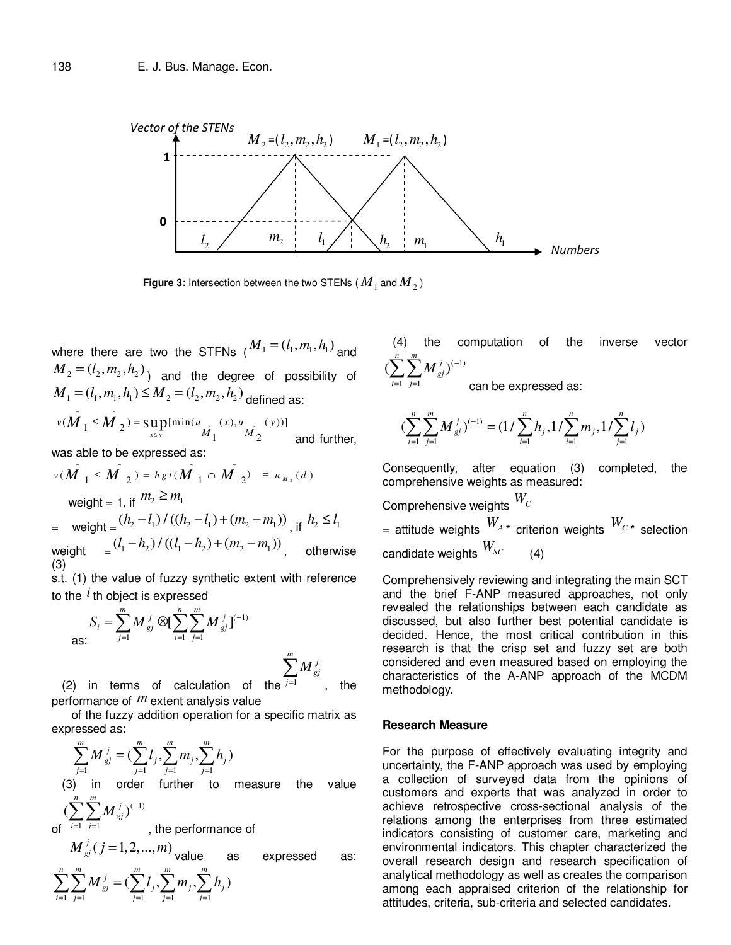

 $-1$   $j=1$ 

*i j*  $=1$  j=

**Figure 3:** Intersection between the two STENs (  $M_{_1}$  and  $M_{_2}$  )

where there are two the STFNs  $(M_1 = (l_1, m_1, h_1)$  and  $M_2 = (l_2, m_2, h_2)$  and the degree of possibility of  $M_1 = (l_1, m_1, h_1) \leq M_2 = (l_2, m_2, h_2)$  defined as:  $\sim$   $\sim$ 

$$
v(M_1 \le M_2) = \sup_{x \le y} [\min(u_{M_1}(x), u_{M_2}(y))]
$$
 and further,

was able to be expressed as:

$$
v(M_{1} \leq M_{2}) = hgt(M_{1} \cap M_{2}) = u_{M_{2}}(d)
$$
  
\nweight = 1, if  $m_{2} \geq m_{1}$   
\n= weight =  $(h_{2} - l_{1})/(h_{2} - l_{1}) + (m_{2} - m_{1}))$ , if  $h_{2} \leq l_{1}$   
\nweight =  $((l_{1} - h_{2})/((l_{1} - h_{2}) + (m_{2} - m_{1}))$ , otherwise (3)

s.t. (1) the value of fuzzy synthetic extent with reference to the  $\,i\,$  th object is expressed

$$
S_i = \sum_{j=1}^{m} M_{gi}^{j} \otimes \left[ \sum_{i=1}^{n} \sum_{j=1}^{m} M_{gi}^{j} \right]^{(-1)}
$$

$$
\sum^m M_{\mathit{g}j}^{\mathit{i}}
$$

, the

(2) in terms of calculation of the  $j=1$ performance of *m* extent analysis value

 of the fuzzy addition operation for a specific matrix as expressed as:

$$
\sum_{j=1}^{m} M_{gj}^{j} = \left(\sum_{j=1}^{m} l_j, \sum_{j=1}^{m} m_j, \sum_{j=1}^{m} h_j\right)
$$
  
(3) in order further to measure the value

 $(\sum \sum M_{\rm ej}^{\,j})^{(-1)}$ *n m*  $\sum \sum M^{~j}_{gj})^{(-}$ 

 $1 \quad j=1$ *i j*  $=1$   $j=$ , the performance of

of

$$
M_{gj}^{j}(j=1,2,...,m)_{\text{value}} \text{ as expressed as:}
$$
  

$$
\sum_{i=1}^{n} \sum_{j=1}^{m} M_{gj}^{j} = (\sum_{j=1}^{m} l_{j}, \sum_{j=1}^{m} m_{j}, \sum_{j=1}^{m} h_{j})
$$

 (4) the computation of the inverse vector  $(\sum \sum M_{\rm ej}^{\,j})^{(-1)}$  $\sum_{i=1}^{n}$   $\sum_{i=1}^{m}$  $\sum \sum^m M_{\textit{gj}}^{\textit{j}})^{(-)}$ 

can be expressed as:

$$
\left(\sum_{i=1}^{n}\sum_{j=1}^{m}M_{gi}^{j}\right)^{(-1)} = \left(1/\sum_{i=1}^{n}h_{j},1/\sum_{i=1}^{n}m_{j},1/\sum_{j=1}^{n}l_{j}\right)
$$

Consequently, after equation (3) completed, the comprehensive weights as measured:

Comprehensive weights 
$$
W_C
$$
  
= attitude weights  $W_{A*}$  criterion weights  $W_{C*}$  selection  
candidate weights  $W_{SC}$  (4)

Comprehensively reviewing and integrating the main SCT and the brief F-ANP measured approaches, not only revealed the relationships between each candidate as discussed, but also further best potential candidate is decided. Hence, the most critical contribution in this research is that the crisp set and fuzzy set are both considered and even measured based on employing the characteristics of the A-ANP approach of the MCDM methodology.

#### **Research Measure**

For the purpose of effectively evaluating integrity and uncertainty, the F-ANP approach was used by employing a collection of surveyed data from the opinions of customers and experts that was analyzed in order to achieve retrospective cross-sectional analysis of the relations among the enterprises from three estimated indicators consisting of customer care, marketing and environmental indicators. This chapter characterized the overall research design and research specification of analytical methodology as well as creates the comparison among each appraised criterion of the relationship for attitudes, criteria, sub-criteria and selected candidates.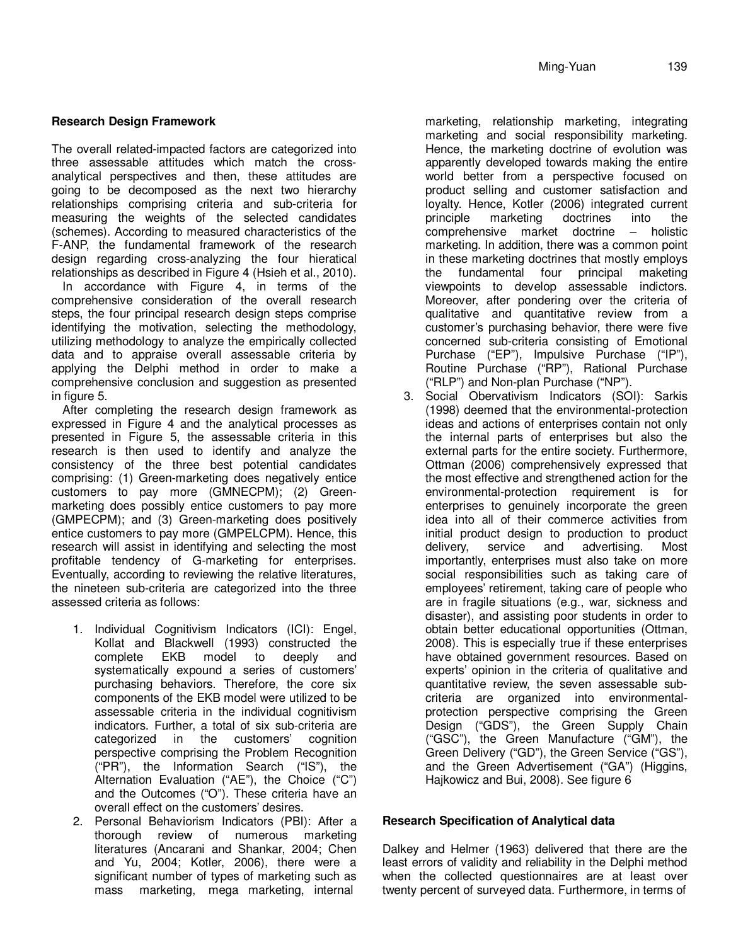## **Research Design Framework**

The overall related-impacted factors are categorized into three assessable attitudes which match the crossanalytical perspectives and then, these attitudes are going to be decomposed as the next two hierarchy relationships comprising criteria and sub-criteria for measuring the weights of the selected candidates (schemes). According to measured characteristics of the F-ANP, the fundamental framework of the research design regarding cross-analyzing the four hieratical relationships as described in Figure 4 (Hsieh et al., 2010).

In accordance with Figure 4, in terms of the comprehensive consideration of the overall research steps, the four principal research design steps comprise identifying the motivation, selecting the methodology, utilizing methodology to analyze the empirically collected data and to appraise overall assessable criteria by applying the Delphi method in order to make a comprehensive conclusion and suggestion as presented in figure 5.

After completing the research design framework as expressed in Figure 4 and the analytical processes as presented in Figure 5, the assessable criteria in this research is then used to identify and analyze the consistency of the three best potential candidates comprising: (1) Green-marketing does negatively entice customers to pay more (GMNECPM); (2) Greenmarketing does possibly entice customers to pay more (GMPECPM); and (3) Green-marketing does positively entice customers to pay more (GMPELCPM). Hence, this research will assist in identifying and selecting the most profitable tendency of G-marketing for enterprises. Eventually, according to reviewing the relative literatures, the nineteen sub-criteria are categorized into the three assessed criteria as follows:

- 1. Individual Cognitivism Indicators (ICI): Engel, Kollat and Blackwell (1993) constructed the<br>complete EKB model to deeply and complete EKB model to deeply and systematically expound a series of customers' purchasing behaviors. Therefore, the core six components of the EKB model were utilized to be assessable criteria in the individual cognitivism indicators. Further, a total of six sub-criteria are categorized in the customers' cognition perspective comprising the Problem Recognition ("PR"), the Information Search ("IS"), the Alternation Evaluation ("AE"), the Choice ("C") and the Outcomes ("O"). These criteria have an overall effect on the customers' desires.
- 2. Personal Behaviorism Indicators (PBI): After a thorough review of numerous marketing literatures (Ancarani and Shankar, 2004; Chen and Yu, 2004; Kotler, 2006), there were a significant number of types of marketing such as mass marketing, mega marketing, internal

marketing, relationship marketing, integrating marketing and social responsibility marketing. Hence, the marketing doctrine of evolution was apparently developed towards making the entire world better from a perspective focused on product selling and customer satisfaction and loyalty. Hence, Kotler (2006) integrated current principle marketing doctrines into the comprehensive market doctrine – holistic marketing. In addition, there was a common point in these marketing doctrines that mostly employs the fundamental four principal maketing viewpoints to develop assessable indictors. Moreover, after pondering over the criteria of qualitative and quantitative review from a customer's purchasing behavior, there were five concerned sub-criteria consisting of Emotional Purchase ("EP"), Impulsive Purchase ("IP"), Routine Purchase ("RP"), Rational Purchase ("RLP") and Non-plan Purchase ("NP").

3. Social Obervativism Indicators (SOI): Sarkis (1998) deemed that the environmental-protection ideas and actions of enterprises contain not only the internal parts of enterprises but also the external parts for the entire society. Furthermore, Ottman (2006) comprehensively expressed that the most effective and strengthened action for the environmental-protection requirement is for enterprises to genuinely incorporate the green idea into all of their commerce activities from initial product design to production to product delivery, service and advertising. Most importantly, enterprises must also take on more social responsibilities such as taking care of employees' retirement, taking care of people who are in fragile situations (e.g., war, sickness and disaster), and assisting poor students in order to obtain better educational opportunities (Ottman, 2008). This is especially true if these enterprises have obtained government resources. Based on experts' opinion in the criteria of qualitative and quantitative review, the seven assessable subcriteria are organized into environmentalprotection perspective comprising the Green Design ("GDS"), the Green Supply Chain ("GSC"), the Green Manufacture ("GM"), the Green Delivery ("GD"), the Green Service ("GS"), and the Green Advertisement ("GA") (Higgins, Hajkowicz and Bui, 2008). See figure 6

## **Research Specification of Analytical data**

Dalkey and Helmer (1963) delivered that there are the least errors of validity and reliability in the Delphi method when the collected questionnaires are at least over twenty percent of surveyed data. Furthermore, in terms of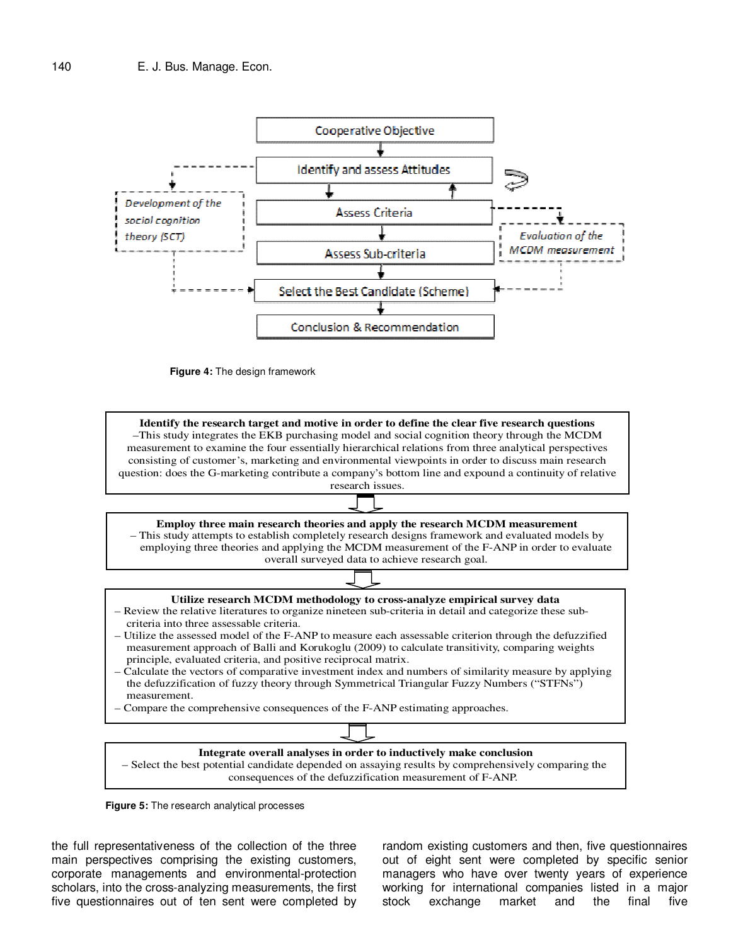

**Figure 4:** The design framework



consequences of the defuzzification measurement of F-ANP.

**Figure 5:** The research analytical processes

the full representativeness of the collection of the three main perspectives comprising the existing customers, corporate managements and environmental-protection scholars, into the cross-analyzing measurements, the first five questionnaires out of ten sent were completed by

random existing customers and then, five questionnaires out of eight sent were completed by specific senior managers who have over twenty years of experience working for international companies listed in a major stock exchange market and the final five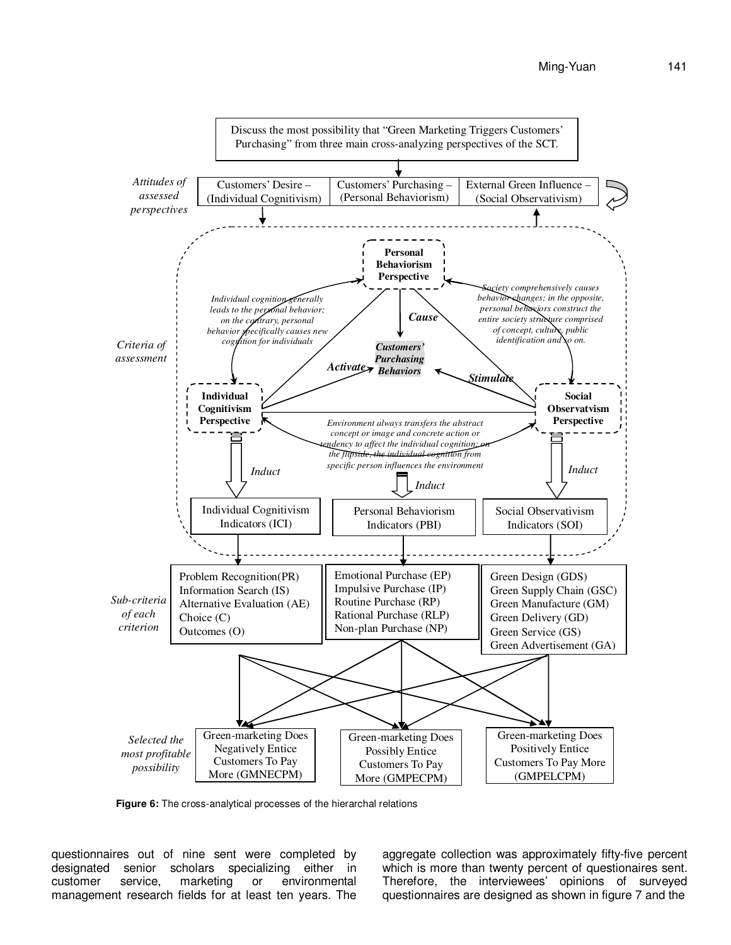

**Figure 6:** The cross-analytical processes of the hierarchal relations

questionnaires out of nine sent were completed by designated senior scholars specializing either in customer service, marketing or environmental management research fields for at least ten years. The aggregate collection was approximately fifty-five percent which is more than twenty percent of questionaires sent. Therefore, the interviewees' opinions of surveyed questionnaires are designed as shown in figure 7 and the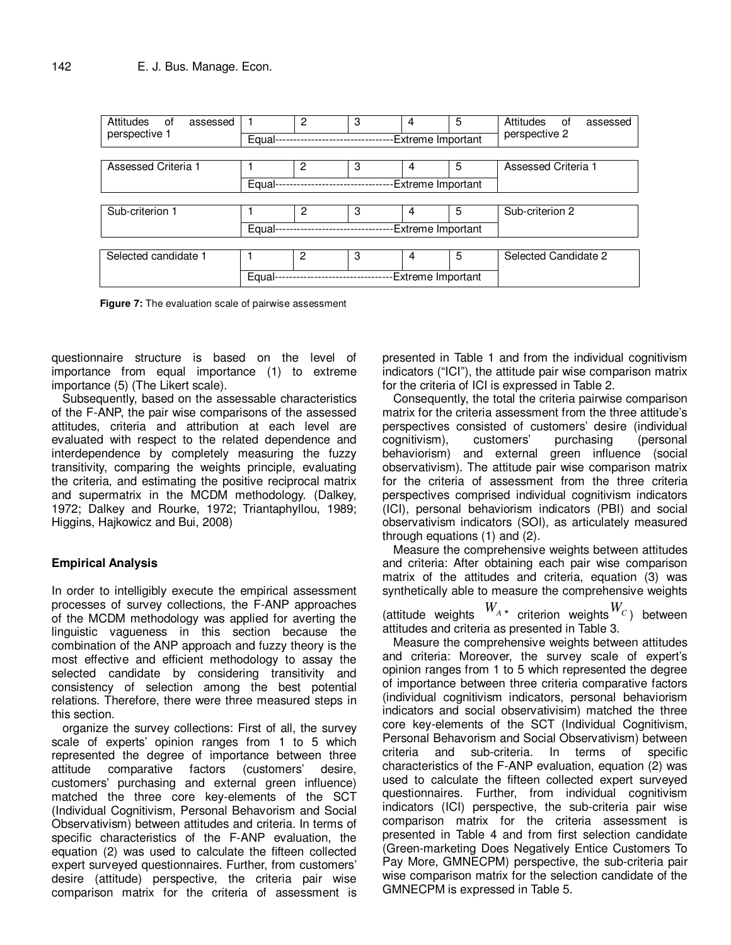| Attitudes<br>of<br>assessed<br>perspective 1 | Equal-                     | 2 | 3 | 4<br>Extreme Important | 5 | Attitudes<br>of<br>assessed<br>perspective 2 |  |  |
|----------------------------------------------|----------------------------|---|---|------------------------|---|----------------------------------------------|--|--|
|                                              |                            |   |   |                        |   |                                              |  |  |
| Assessed Criteria 1                          |                            | 2 | 3 | 4                      | 5 | Assessed Criteria 1                          |  |  |
|                                              | Equal-                     |   |   |                        |   |                                              |  |  |
|                                              |                            |   |   |                        |   |                                              |  |  |
| Sub-criterion 1                              |                            | 2 | 3 | 4                      | 5 | Sub-criterion 2                              |  |  |
|                                              | Equal-                     |   |   | Extreme Important      |   |                                              |  |  |
|                                              |                            |   |   |                        |   |                                              |  |  |
| Selected candidate 1                         |                            | 2 | 3 | 4                      | 5 | Selected Candidate 2                         |  |  |
|                                              | Equal<br>Extreme Important |   |   |                        |   |                                              |  |  |

**Figure 7:** The evaluation scale of pairwise assessment

questionnaire structure is based on the level of importance from equal importance (1) to extreme importance (5) (The Likert scale).

Subsequently, based on the assessable characteristics of the F-ANP, the pair wise comparisons of the assessed attitudes, criteria and attribution at each level are evaluated with respect to the related dependence and interdependence by completely measuring the fuzzy transitivity, comparing the weights principle, evaluating the criteria, and estimating the positive reciprocal matrix and supermatrix in the MCDM methodology. (Dalkey, 1972; Dalkey and Rourke, 1972; Triantaphyllou, 1989; Higgins, Hajkowicz and Bui, 2008)

#### **Empirical Analysis**

In order to intelligibly execute the empirical assessment processes of survey collections, the F-ANP approaches of the MCDM methodology was applied for averting the linguistic vagueness in this section because the combination of the ANP approach and fuzzy theory is the most effective and efficient methodology to assay the selected candidate by considering transitivity and consistency of selection among the best potential relations. Therefore, there were three measured steps in this section.

organize the survey collections: First of all, the survey scale of experts' opinion ranges from 1 to 5 which represented the degree of importance between three attitude comparative factors (customers' desire, customers' purchasing and external green influence) matched the three core key-elements of the SCT (Individual Cognitivism, Personal Behavorism and Social Observativism) between attitudes and criteria. In terms of specific characteristics of the F-ANP evaluation, the equation (2) was used to calculate the fifteen collected expert surveyed questionnaires. Further, from customers' desire (attitude) perspective, the criteria pair wise comparison matrix for the criteria of assessment is

presented in Table 1 and from the individual cognitivism indicators ("ICI"), the attitude pair wise comparison matrix for the criteria of ICI is expressed in Table 2.

Consequently, the total the criteria pairwise comparison matrix for the criteria assessment from the three attitude's perspectives consisted of customers' desire (individual cognitivism), customers' purchasing (personal behaviorism) and external green influence (social observativism). The attitude pair wise comparison matrix for the criteria of assessment from the three criteria perspectives comprised individual cognitivism indicators (ICI), personal behaviorism indicators (PBI) and social observativism indicators (SOI), as articulately measured through equations (1) and (2).

Measure the comprehensive weights between attitudes and criteria: After obtaining each pair wise comparison matrix of the attitudes and criteria, equation (3) was synthetically able to measure the comprehensive weights

(attitude weights  $W_{A\star}$  criterion weights  $W_{C}$ ) between attitudes and criteria as presented in Table 3.

Measure the comprehensive weights between attitudes and criteria: Moreover, the survey scale of expert's opinion ranges from 1 to 5 which represented the degree of importance between three criteria comparative factors (individual cognitivism indicators, personal behaviorism indicators and social observativisim) matched the three core key-elements of the SCT (Individual Cognitivism, Personal Behavorism and Social Observativism) between criteria and sub-criteria. In terms of specific characteristics of the F-ANP evaluation, equation (2) was used to calculate the fifteen collected expert surveyed questionnaires. Further, from individual cognitivism indicators (ICI) perspective, the sub-criteria pair wise comparison matrix for the criteria assessment is presented in Table 4 and from first selection candidate (Green-marketing Does Negatively Entice Customers To Pay More, GMNECPM) perspective, the sub-criteria pair wise comparison matrix for the selection candidate of the GMNECPM is expressed in Table 5.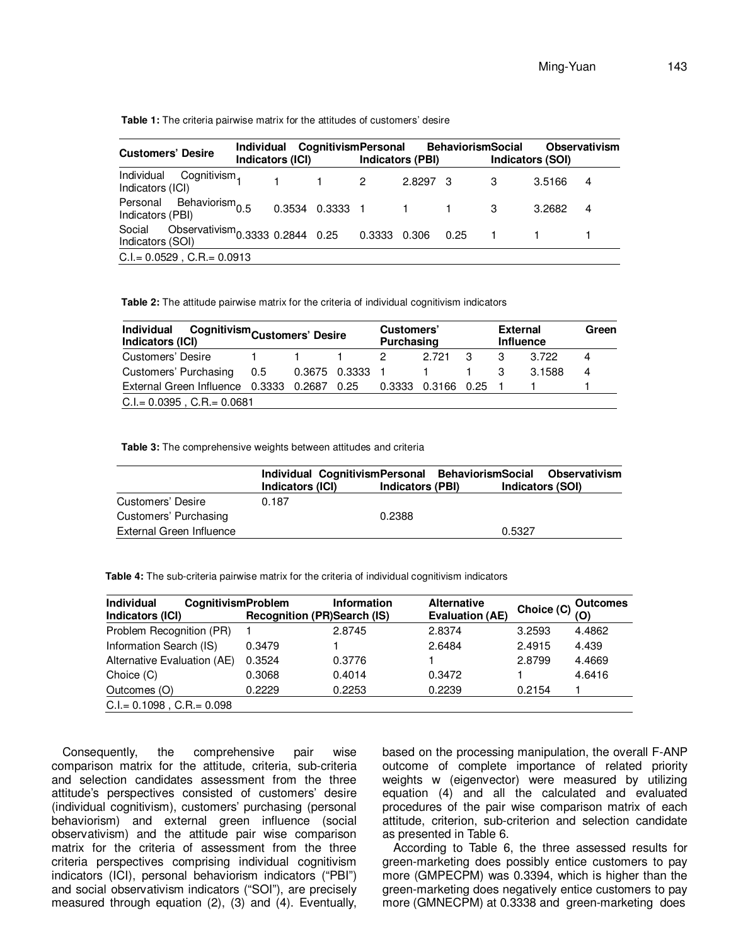Table 1: The criteria pairwise matrix for the attitudes of customers' desire

| <b>Customers' Desire</b>                                         | Individual CognitivismPersonal<br>Indicators (ICI) |        | Indicators (PBI) | <b>BehaviorismSocial</b> | Indicators (SOI) |        | <b>Observativism</b> |
|------------------------------------------------------------------|----------------------------------------------------|--------|------------------|--------------------------|------------------|--------|----------------------|
| Individual Cognitivism <sub>1</sub><br>Indicators (ICI)          | $1 \quad 1 \quad 2$                                |        | 2.8297 3         |                          |                  | 3.5166 | 4                    |
| Personal Behaviorism $_{0.5}$<br>Indicators (PBI)                | 0.3534 0.3333 1                                    |        |                  | $1 \quad 1$              | -3               | 3.2682 | 4                    |
| Observativism $0.3333$ 0.2844 0.25<br>Social<br>Indicators (SOI) |                                                    | 0.3333 | 0.306            | $0.25 - 1$               |                  |        |                      |
| $C.I = 0.0529$ , $C.R = 0.0913$                                  |                                                    |        |                  |                          |                  |        |                      |

**Table 2:** The attitude pairwise matrix for the criteria of individual cognitivism indicators

| <b>Individual</b><br>Cognitivism <sub>Customers' Desire</sub><br>Indicators (ICI) |  |             |               | Customers'<br>Purchasing |                    |   | <b>External</b><br><b>Influence</b> |        | Green |
|-----------------------------------------------------------------------------------|--|-------------|---------------|--------------------------|--------------------|---|-------------------------------------|--------|-------|
| Customers' Desire                                                                 |  |             |               | 2                        | 2 721              | 3 | 3                                   | 3.722  | 4     |
| Customers' Purchasing 0.5                                                         |  |             | 0.3675 0.3333 | -1                       |                    |   |                                     | 3.1588 | 4     |
| External Green Influence 0.3333                                                   |  | 0.2687 0.25 |               |                          | 0.3333 0.3166 0.25 |   |                                     |        |       |
| $C.I = 0.0395$ , $C.R = 0.0681$                                                   |  |             |               |                          |                    |   |                                     |        |       |

**Table 3:** The comprehensive weights between attitudes and criteria

|                          | Individual CognitivismPersonal BehaviorismSocial Observativism<br>Indicators (ICI) | <b>Indicators (PBI)</b> | Indicators (SOI) |  |
|--------------------------|------------------------------------------------------------------------------------|-------------------------|------------------|--|
| Customers' Desire        | 0.187                                                                              |                         |                  |  |
| Customers' Purchasing    |                                                                                    | 0.2388                  |                  |  |
| External Green Influence |                                                                                    |                         | 0.5327           |  |

**Table 4:** The sub-criteria pairwise matrix for the criteria of individual cognitivism indicators

| <b>CognitivismProblem</b> | <b>Information</b> | <b>Alternative</b><br><b>Evaluation (AE)</b> | Choice (C) | <b>Outcomes</b><br>(O) |
|---------------------------|--------------------|----------------------------------------------|------------|------------------------|
|                           | 2.8745             | 2.8374                                       | 3.2593     | 4.4862                 |
| 0.3479                    |                    | 2.6484                                       | 2.4915     | 4.439                  |
| 0.3524                    | 0.3776             |                                              | 2.8799     | 4.4669                 |
| 0.3068                    | 0.4014             | 0.3472                                       |            | 4.6416                 |
| 0.2229                    | 0.2253             | 0.2239                                       | 0.2154     |                        |
|                           |                    |                                              |            |                        |
|                           |                    | <b>Recognition (PR)Search (IS)</b>           |            |                        |

Consequently, the comprehensive pair wise comparison matrix for the attitude, criteria, sub-criteria and selection candidates assessment from the three attitude's perspectives consisted of customers' desire (individual cognitivism), customers' purchasing (personal behaviorism) and external green influence (social observativism) and the attitude pair wise comparison matrix for the criteria of assessment from the three criteria perspectives comprising individual cognitivism indicators (ICI), personal behaviorism indicators ("PBI") and social observativism indicators ("SOI"), are precisely measured through equation (2), (3) and (4). Eventually,

based on the processing manipulation, the overall F-ANP outcome of complete importance of related priority weights w (eigenvector) were measured by utilizing equation (4) and all the calculated and evaluated procedures of the pair wise comparison matrix of each attitude, criterion, sub-criterion and selection candidate as presented in Table 6.

According to Table 6, the three assessed results for green-marketing does possibly entice customers to pay more (GMPECPM) was 0.3394, which is higher than the green-marketing does negatively entice customers to pay more (GMNECPM) at 0.3338 and green-marketing does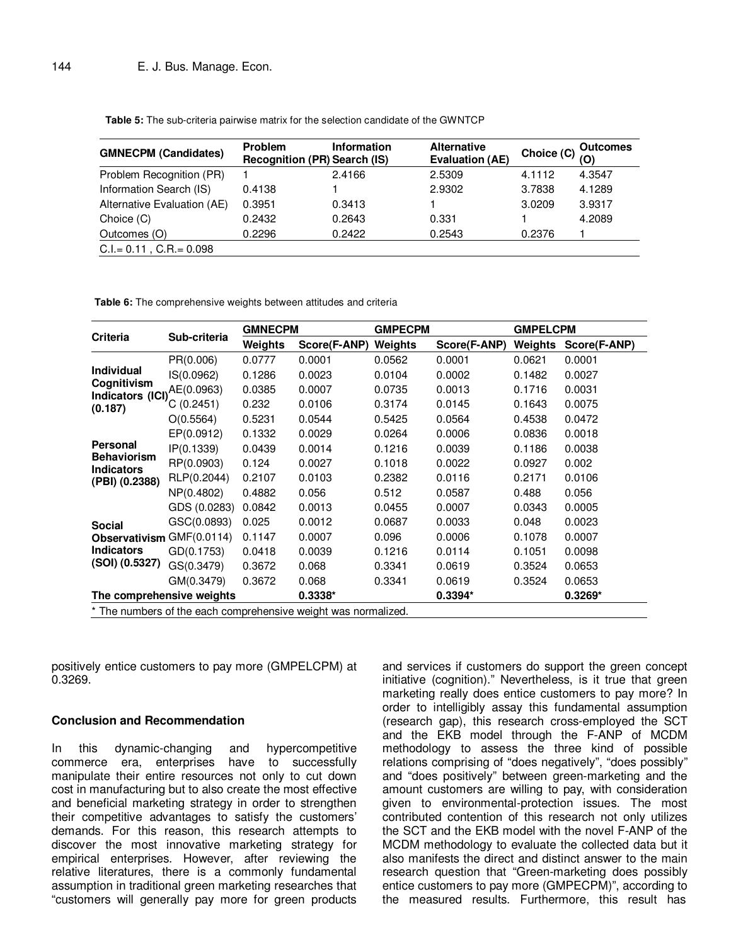**Table 5:** The sub-criteria pairwise matrix for the selection candidate of the GWNTCP

| <b>GMNECPM (Candidates)</b>  | Problem<br><b>Recognition (PR) Search (IS)</b> | <b>Information</b> | <b>Alternative</b><br><b>Evaluation (AE)</b> | Choice (C) | <b>Outcomes</b><br>(O) |
|------------------------------|------------------------------------------------|--------------------|----------------------------------------------|------------|------------------------|
| Problem Recognition (PR)     |                                                | 2.4166             | 2.5309                                       | 4.1112     | 4.3547                 |
| Information Search (IS)      | 0.4138                                         |                    | 2.9302                                       | 3.7838     | 4.1289                 |
| Alternative Evaluation (AE)  | 0.3951                                         | 0.3413             |                                              | 3.0209     | 3.9317                 |
| Choice (C)                   | 0.2432                                         | 0.2643             | 0.331                                        |            | 4.2089                 |
| Outcomes (O)                 | 0.2296                                         | 0.2422             | 0.2543                                       | 0.2376     |                        |
| $C.I = 0.11$ , $C.R = 0.098$ |                                                |                    |                                              |            |                        |

**Table 6:** The comprehensive weights between attitudes and criteria

|                                                                |                           | <b>GMNECPM</b> |              | <b>GMPECPM</b> |              | <b>GMPELCPM</b> |              |  |
|----------------------------------------------------------------|---------------------------|----------------|--------------|----------------|--------------|-----------------|--------------|--|
| <b>Criteria</b>                                                | Sub-criteria              | Weights        | Score(F-ANP) | Weights        | Score(F-ANP) | Weights         | Score(F-ANP) |  |
|                                                                | PR(0.006)                 | 0.0777         | 0.0001       | 0.0562         | 0.0001       | 0.0621          | 0.0001       |  |
| <b>Individual</b>                                              | IS(0.0962)                | 0.1286         | 0.0023       | 0.0104         | 0.0002       | 0.1482          | 0.0027       |  |
| Cognitivism<br>Indicators (ICI)                                | AE(0.0963)                | 0.0385         | 0.0007       | 0.0735         | 0.0013       | 0.1716          | 0.0031       |  |
| (0.187)                                                        | C(0.2451)                 | 0.232          | 0.0106       | 0.3174         | 0.0145       | 0.1643          | 0.0075       |  |
|                                                                | O(0.5564)                 | 0.5231         | 0.0544       | 0.5425         | 0.0564       | 0.4538          | 0.0472       |  |
|                                                                | EP(0.0912)                | 0.1332         | 0.0029       | 0.0264         | 0.0006       | 0.0836          | 0.0018       |  |
| <b>Personal</b>                                                | IP(0.1339)                | 0.0439         | 0.0014       | 0.1216         | 0.0039       | 0.1186          | 0.0038       |  |
| <b>Behaviorism</b><br><b>Indicators</b>                        | RP(0.0903)                | 0.124          | 0.0027       | 0.1018         | 0.0022       | 0.0927          | 0.002        |  |
| (PBI) (0.2388)                                                 | RLP(0.2044)               | 0.2107         | 0.0103       | 0.2382         | 0.0116       | 0.2171          | 0.0106       |  |
|                                                                | NP(0.4802)                | 0.4882         | 0.056        | 0.512          | 0.0587       | 0.488           | 0.056        |  |
|                                                                | GDS (0.0283)              | 0.0842         | 0.0013       | 0.0455         | 0.0007       | 0.0343          | 0.0005       |  |
| <b>Social</b>                                                  | GSC(0.0893)               | 0.025          | 0.0012       | 0.0687         | 0.0033       | 0.048           | 0.0023       |  |
| <b>Observativism</b>                                           | GMF(0.0114)               | 0.1147         | 0.0007       | 0.096          | 0.0006       | 0.1078          | 0.0007       |  |
| <b>Indicators</b>                                              | GD(0.1753)                | 0.0418         | 0.0039       | 0.1216         | 0.0114       | 0.1051          | 0.0098       |  |
| (SOI) (0.5327)                                                 | GS(0.3479)                | 0.3672         | 0.068        | 0.3341         | 0.0619       | 0.3524          | 0.0653       |  |
|                                                                | GM(0.3479)                | 0.3672         | 0.068        | 0.3341         | 0.0619       | 0.3524          | 0.0653       |  |
|                                                                | The comprehensive weights |                | $0.3338*$    |                | $0.3394*$    |                 | $0.3269*$    |  |
| * The numbers of the each comprehensive weight was normalized. |                           |                |              |                |              |                 |              |  |

positively entice customers to pay more (GMPELCPM) at 0.3269.

#### **Conclusion and Recommendation**

In this dynamic-changing and hypercompetitive commerce era, enterprises have to successfully manipulate their entire resources not only to cut down cost in manufacturing but to also create the most effective and beneficial marketing strategy in order to strengthen their competitive advantages to satisfy the customers' demands. For this reason, this research attempts to discover the most innovative marketing strategy for empirical enterprises. However, after reviewing the relative literatures, there is a commonly fundamental assumption in traditional green marketing researches that "customers will generally pay more for green products

and services if customers do support the green concept initiative (cognition)." Nevertheless, is it true that green marketing really does entice customers to pay more? In order to intelligibly assay this fundamental assumption (research gap), this research cross-employed the SCT and the EKB model through the F-ANP of MCDM methodology to assess the three kind of possible relations comprising of "does negatively", "does possibly" and "does positively" between green-marketing and the amount customers are willing to pay, with consideration given to environmental-protection issues. The most contributed contention of this research not only utilizes the SCT and the EKB model with the novel F-ANP of the MCDM methodology to evaluate the collected data but it also manifests the direct and distinct answer to the main research question that "Green-marketing does possibly entice customers to pay more (GMPECPM)", according to the measured results. Furthermore, this result has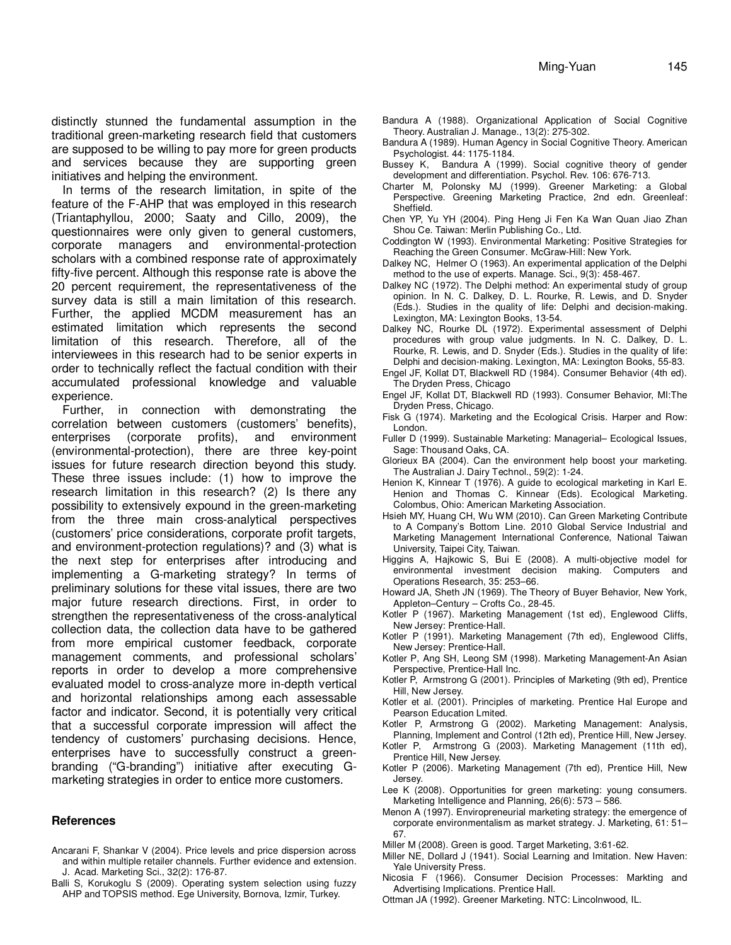distinctly stunned the fundamental assumption in the traditional green-marketing research field that customers are supposed to be willing to pay more for green products and services because they are supporting green initiatives and helping the environment.

In terms of the research limitation, in spite of the feature of the F-AHP that was employed in this research (Triantaphyllou, 2000; Saaty and Cillo, 2009), the questionnaires were only given to general customers, corporate managers and environmental-protection scholars with a combined response rate of approximately fifty-five percent. Although this response rate is above the 20 percent requirement, the representativeness of the survey data is still a main limitation of this research. Further, the applied MCDM measurement has an estimated limitation which represents the second limitation of this research. Therefore, all of the interviewees in this research had to be senior experts in order to technically reflect the factual condition with their accumulated professional knowledge and valuable experience.

Further, in connection with demonstrating the correlation between customers (customers' benefits), enterprises (corporate profits), and environment (environmental-protection), there are three key-point issues for future research direction beyond this study. These three issues include: (1) how to improve the research limitation in this research? (2) Is there any possibility to extensively expound in the green-marketing from the three main cross-analytical perspectives (customers' price considerations, corporate profit targets, and environment-protection regulations)? and (3) what is the next step for enterprises after introducing and implementing a G-marketing strategy? In terms of preliminary solutions for these vital issues, there are two major future research directions. First, in order to strengthen the representativeness of the cross-analytical collection data, the collection data have to be gathered from more empirical customer feedback, corporate management comments, and professional scholars' reports in order to develop a more comprehensive evaluated model to cross-analyze more in-depth vertical and horizontal relationships among each assessable factor and indicator. Second, it is potentially very critical that a successful corporate impression will affect the tendency of customers' purchasing decisions. Hence, enterprises have to successfully construct a greenbranding ("G-branding") initiative after executing Gmarketing strategies in order to entice more customers.

#### **References**

- Ancarani F, Shankar V (2004). Price levels and price dispersion across and within multiple retailer channels. Further evidence and extension. J. Acad. Marketing Sci., 32(2): 176-87.
- Balli S, Korukoglu S (2009). Operating system selection using fuzzy AHP and TOPSIS method. Ege University, Bornova, Izmir, Turkey.
- Bandura A (1988). Organizational Application of Social Cognitive Theory. Australian J. Manage., 13(2): 275-302.
- Bandura A (1989). Human Agency in Social Cognitive Theory. American Psychologist. 44: 1175-1184.
- Bussey K, Bandura A (1999). Social cognitive theory of gender development and differentiation. Psychol. Rev. 106: 676-713.
- Charter M, Polonsky MJ (1999). Greener Marketing: a Global Perspective. Greening Marketing Practice, 2nd edn. Greenleaf: Sheffield.
- Chen YP, Yu YH (2004). Ping Heng Ji Fen Ka Wan Quan Jiao Zhan Shou Ce. Taiwan: Merlin Publishing Co., Ltd.
- Coddington W (1993). Environmental Marketing: Positive Strategies for Reaching the Green Consumer. McGraw-Hill: New York.
- Dalkey NC, Helmer O (1963). An experimental application of the Delphi method to the use of experts. Manage. Sci., 9(3): 458-467.
- Dalkey NC (1972). The Delphi method: An experimental study of group opinion. In N. C. Dalkey, D. L. Rourke, R. Lewis, and D. Snyder (Eds.). Studies in the quality of life: Delphi and decision-making. Lexington, MA: Lexington Books, 13-54.
- Dalkey NC, Rourke DL (1972). Experimental assessment of Delphi procedures with group value judgments. In N. C. Dalkey, D. L. Rourke, R. Lewis, and D. Snyder (Eds.). Studies in the quality of life: Delphi and decision-making. Lexington, MA: Lexington Books, 55-83.
- Engel JF, Kollat DT, Blackwell RD (1984). Consumer Behavior (4th ed). The Dryden Press, Chicago
- Engel JF, Kollat DT, Blackwell RD (1993). Consumer Behavior, MI:The Dryden Press, Chicago.
- Fisk G (1974). Marketing and the Ecological Crisis. Harper and Row: London.
- Fuller D (1999). Sustainable Marketing: Managerial– Ecological Issues, Sage: Thousand Oaks, CA.
- Glorieux BA (2004). Can the environment help boost your marketing. The Australian J. Dairy Technol., 59(2): 1-24.
- Henion K, Kinnear T (1976). A guide to ecological marketing in Karl E. Henion and Thomas C. Kinnear (Eds). Ecological Marketing. Colombus, Ohio: American Marketing Association.
- Hsieh MY, Huang CH, Wu WM (2010). Can Green Marketing Contribute to A Company's Bottom Line. 2010 Global Service Industrial and Marketing Management International Conference, National Taiwan University, Taipei City, Taiwan.
- Higgins A, Hajkowic S, Bui E (2008). A multi-objective model for environmental investment decision making. Computers and Operations Research, 35: 253–66.
- Howard JA, Sheth JN (1969). The Theory of Buyer Behavior, New York, Appleton–Century – Crofts Co., 28-45.
- Kotler P (1967). Marketing Management (1st ed), Englewood Cliffs, New Jersey: Prentice-Hall.
- Kotler P (1991). Marketing Management (7th ed), Englewood Cliffs, New Jersey: Prentice-Hall.
- Kotler P, Ang SH, Leong SM (1998). Marketing Management-An Asian Perspective, Prentice-Hall Inc.
- Kotler P, Armstrong G (2001). Principles of Marketing (9th ed), Prentice Hill, New Jersey.
- Kotler et al. (2001). Principles of marketing. Prentice Hal Europe and Pearson Education Lmited.
- Kotler P, Armstrong G (2002). Marketing Management: Analysis, Planning, Implement and Control (12th ed), Prentice Hill, New Jersey.
- Kotler P, Armstrong G (2003). Marketing Management (11th ed), Prentice Hill, New Jersey.
- Kotler P (2006). Marketing Management (7th ed), Prentice Hill, New Jersey.
- Lee K (2008). Opportunities for green marketing: young consumers. Marketing Intelligence and Planning, 26(6): 573 – 586.
- Menon A (1997). Enviropreneurial marketing strategy: the emergence of corporate environmentalism as market strategy. J. Marketing, 61: 51– 67.
- Miller M (2008). Green is good. Target Marketing, 3:61-62.
- Miller NE, Dollard J (1941). Social Learning and Imitation. New Haven: Yale University Press.
- Nicosia F (1966). Consumer Decision Processes: Markting and Advertising Implications. Prentice Hall.
- Ottman JA (1992). Greener Marketing. NTC: Lincolnwood, IL.